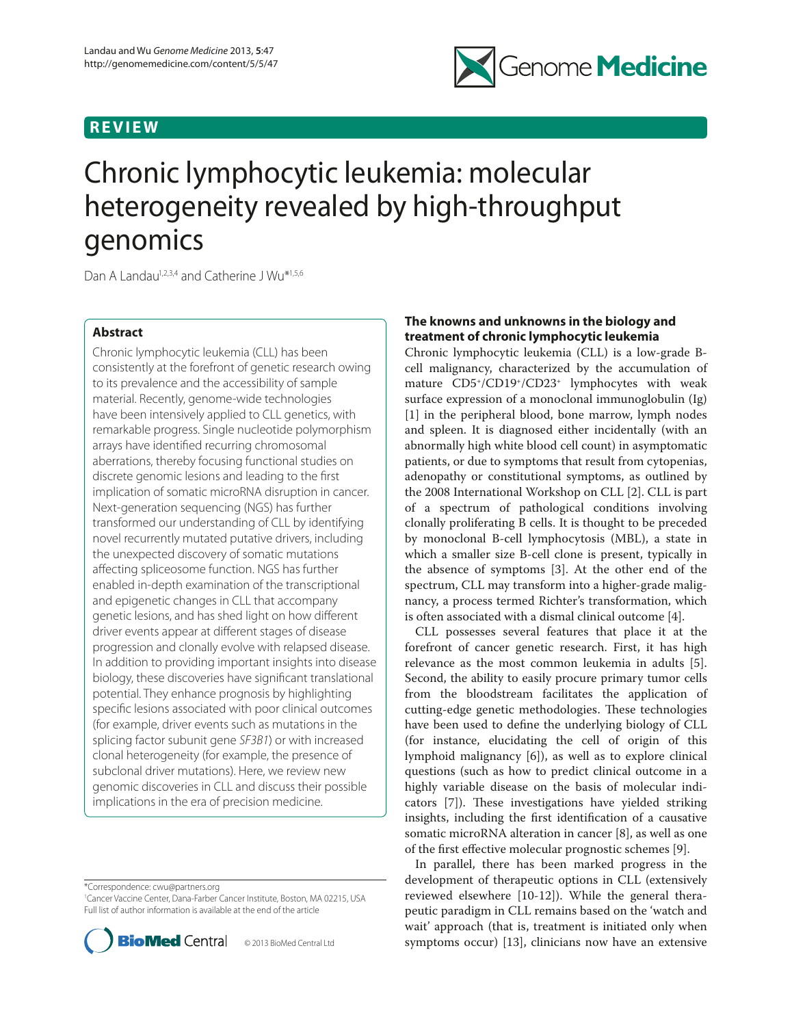# **R E V I E W**



# Chronic lymphocytic leukemia: molecular heterogeneity revealed by high-throughput genomics

Dan A Landau<sup>1,2,3,4</sup> and Catherine J Wu<sup>\*1,5,6</sup>

# **Abstract**

Chronic lymphocytic leukemia (CLL) has been consistently at the forefront of genetic research owing to its prevalence and the accessibility of sample material. Recently, genome-wide technologies have been intensively applied to CLL genetics, with remarkable progress. Single nucleotide polymorphism arrays have identified recurring chromosomal aberrations, thereby focusing functional studies on discrete genomic lesions and leading to the first implication of somatic microRNA disruption in cancer. Next-generation sequencing (NGS) has further transformed our understanding of CLL by identifying novel recurrently mutated putative drivers, including the unexpected discovery of somatic mutations affecting spliceosome function. NGS has further enabled in-depth examination of the transcriptional and epigenetic changes in CLL that accompany genetic lesions, and has shed light on how different driver events appear at different stages of disease progression and clonally evolve with relapsed disease. In addition to providing important insights into disease biology, these discoveries have significant translational potential. They enhance prognosis by highlighting specific lesions associated with poor clinical outcomes (for example, driver events such as mutations in the splicing factor subunit gene *SF3B1*) or with increased clonal heterogeneity (for example, the presence of subclonal driver mutations). Here, we review new genomic discoveries in CLL and discuss their possible implications in the era of precision medicine.

\*Correspondence: cwu@partners.org

1 Cancer Vaccine Center, Dana-Farber Cancer Institute, Boston, MA 02215, USA Full list of author information is available at the end of the article



© 2013 BioMed Central Ltd

# **The knowns and unknowns in the biology and treatment of chronic lymphocytic leukemia**

Chronic lymphocytic leukemia (CLL) is a low-grade Bcell malignancy, characterized by the accumulation of mature CD5+/CD19+/CD23+ lymphocytes with weak surface expression of a monoclonal immunoglobulin (Ig) [1] in the peripheral blood, bone marrow, lymph nodes and spleen. It is diagnosed either incidentally (with an abnormally high white blood cell count) in asymptomatic patients, or due to symptoms that result from cytopenias, adenopathy or constitutional symptoms, as outlined by the 2008 International Workshop on CLL [2]. CLL is part of a spectrum of pathological conditions involving clonally proliferating B cells. It is thought to be preceded by monoclonal B-cell lymphocytosis (MBL), a state in which a smaller size B-cell clone is present, typically in the absence of symptoms [3]. At the other end of the spectrum, CLL may transform into a higher-grade malignancy, a process termed Richter's transformation, which is often associated with a dismal clinical outcome [4].

CLL possesses several features that place it at the forefront of cancer genetic research. First, it has high relevance as the most common leukemia in adults [5]. Second, the ability to easily procure primary tumor cells from the bloodstream facilitates the application of cutting-edge genetic methodologies. These technologies have been used to define the underlying biology of CLL (for instance, elucidating the cell of origin of this lymphoid malignancy [6]), as well as to explore clinical questions (such as how to predict clinical outcome in a highly variable disease on the basis of molecular indicators [7]). These investigations have yielded striking insights, including the first identification of a causative somatic microRNA alteration in cancer [8], as well as one of the first effective molecular prognostic schemes [9].

In parallel, there has been marked progress in the development of therapeutic options in CLL (extensively reviewed elsewhere [10-12]). While the general therapeutic paradigm in CLL remains based on the 'watch and wait' approach (that is, treatment is initiated only when symptoms occur) [13], clinicians now have an extensive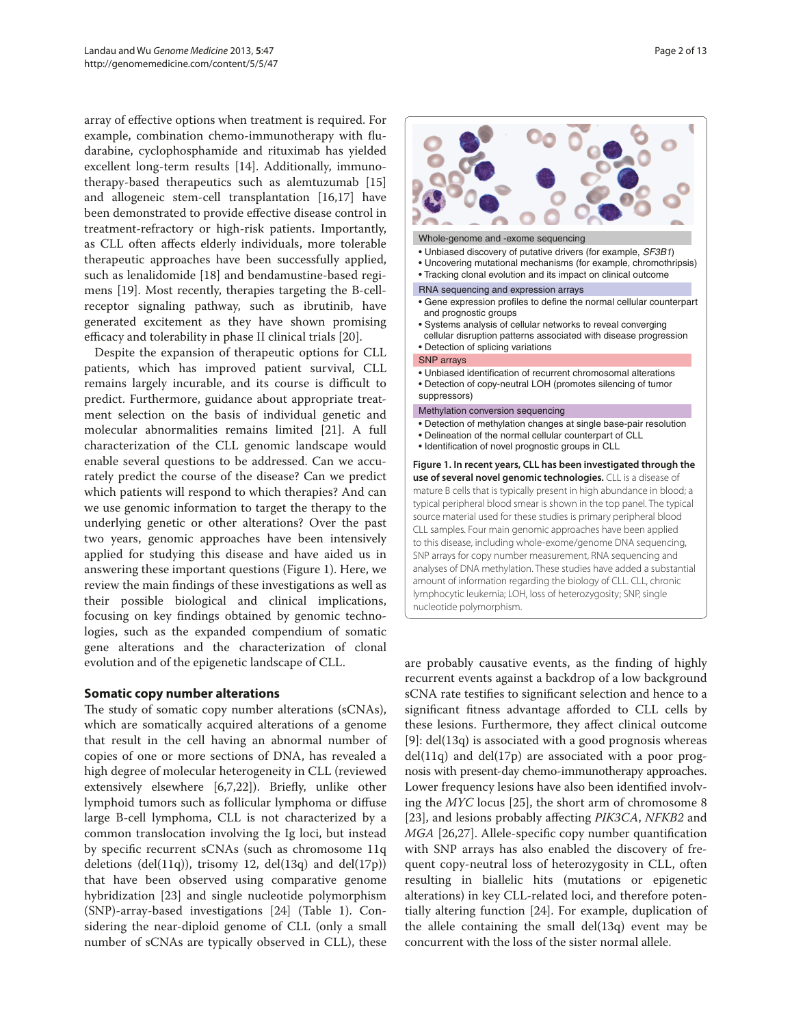array of effective options when treatment is required. For example, combination chemo-immunotherapy with fludarabine, cyclophosphamide and rituximab has yielded excellent long-term results [14]. Additionally, immunotherapy-based therapeutics such as alemtuzumab [15] and allogeneic stem-cell transplantation [16,17] have been demonstrated to provide effective disease control in treatment-refractory or high-risk patients. Importantly, as CLL often affects elderly individuals, more tolerable therapeutic approaches have been successfully applied, such as lenalidomide [18] and bendamustine-based regimens [19]. Most recently, therapies targeting the B-cellreceptor signaling pathway, such as ibrutinib, have generated excitement as they have shown promising efficacy and tolerability in phase II clinical trials [20].

Despite the expansion of therapeutic options for CLL patients, which has improved patient survival, CLL remains largely incurable, and its course is difficult to predict. Furthermore, guidance about appropriate treatment selection on the basis of individual genetic and molecular abnormalities remains limited [21]. A full characterization of the CLL genomic landscape would enable several questions to be addressed. Can we accurately predict the course of the disease? Can we predict which patients will respond to which therapies? And can we use genomic information to target the therapy to the underlying genetic or other alterations? Over the past two years, genomic approaches have been intensively applied for studying this disease and have aided us in answering these important questions (Figure 1). Here, we review the main findings of these investigations as well as their possible biological and clinical implications, focusing on key findings obtained by genomic technologies, such as the expanded compendium of somatic gene alterations and the characterization of clonal evolution and of the epigenetic landscape of CLL.

## **Somatic copy number alterations**

The study of somatic copy number alterations (sCNAs), which are somatically acquired alterations of a genome that result in the cell having an abnormal number of copies of one or more sections of DNA, has revealed a high degree of molecular heterogeneity in CLL (reviewed extensively elsewhere [6,7,22]). Briefly, unlike other lymphoid tumors such as follicular lymphoma or diffuse large B-cell lymphoma, CLL is not characterized by a common translocation involving the Ig loci, but instead by specific recurrent sCNAs (such as chromosome 11q deletions (del(11q)), trisomy 12, del(13q) and del(17p)) that have been observed using comparative genome hybridization [23] and single nucleotide polymorphism (SNP)-array-based investigations [24] (Table 1). Considering the near-diploid genome of CLL (only a small number of sCNAs are typically observed in CLL), these



are probably causative events, as the finding of highly recurrent events against a backdrop of a low background sCNA rate testifies to significant selection and hence to a significant fitness advantage afforded to CLL cells by these lesions. Furthermore, they affect clinical outcome [9]:  $del(13q)$  is associated with a good prognosis whereas  $del(11q)$  and  $del(17p)$  are associated with a poor prognosis with present-day chemo-immunotherapy approaches. Lower frequency lesions have also been identified involving the *MYC* locus [25], the short arm of chromosome 8 [23], and lesions probably affecting *PIK3CA*, *NFKB2* and *MGA* [26,27]. Allele-specific copy number quantification with SNP arrays has also enabled the discovery of frequent copy-neutral loss of heterozygosity in CLL, often resulting in biallelic hits (mutations or epigenetic alterations) in key CLL-related loci, and therefore potentially altering function [24]. For example, duplication of the allele containing the small del $(13q)$  event may be concurrent with the loss of the sister normal allele.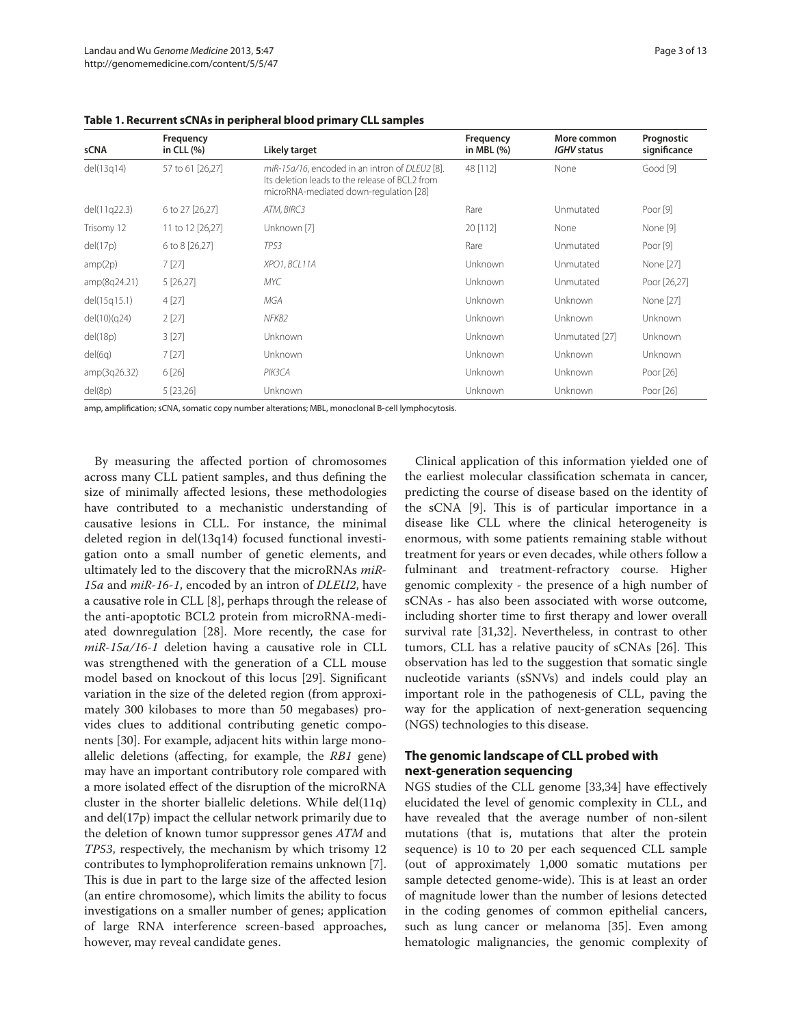| sCNA         | Frequency<br>in CLL $(\% )$ | Likely target                                                                                                                              | Frequency<br>in MBL $(% )$ | More common<br><b>IGHV</b> status | Prognostic<br>significance |
|--------------|-----------------------------|--------------------------------------------------------------------------------------------------------------------------------------------|----------------------------|-----------------------------------|----------------------------|
| del(13q14)   | 57 to 61 [26,27]            | miR-15a/16, encoded in an intron of DLEU2 [8].<br>Its deletion leads to the release of BCL2 from<br>microRNA-mediated down-regulation [28] | 48 [112]                   | None                              | Good [9]                   |
| del(11q22.3) | 6 to 27 [26,27]             | ATM, BIRC3                                                                                                                                 | Rare                       | Unmutated                         | Poor [9]                   |
| Trisomy 12   | 11 to 12 [26,27]            | Unknown [7]                                                                                                                                | 20 [112]                   | None                              | None [9]                   |
| del(17p)     | 6 to 8 [26,27]              | TP53                                                                                                                                       | Rare                       | Unmutated                         | Poor [9]                   |
| amp(2p)      | 7[27]                       | XPO1, BCL11A                                                                                                                               | Unknown                    | Unmutated                         | None [27]                  |
| amp(8q24.21) | 5 [26,27]                   | <b>MYC</b>                                                                                                                                 | Unknown                    | Unmutated                         | Poor [26,27]               |
| del(15q15.1) | 4[27]                       | <b>MGA</b>                                                                                                                                 | Unknown                    | <b>Unknown</b>                    | None [27]                  |
| del(10)(q24) | 2[27]                       | NFKB2                                                                                                                                      | Unknown                    | Unknown                           | Unknown                    |
| del(18p)     | 3 [27]                      | <b>Unknown</b>                                                                                                                             | Unknown                    | Unmutated [27]                    | Unknown                    |
| del(6q)      | 7[27]                       | Unknown                                                                                                                                    | Unknown                    | Unknown                           | Unknown                    |
| amp(3q26.32) | 6[26]                       | PIK3CA                                                                                                                                     | Unknown                    | Unknown                           | Poor [26]                  |
| del(8p)      | 5 [23, 26]                  | Unknown                                                                                                                                    | Unknown                    | <b>Unknown</b>                    | Poor [26]                  |

**Table 1. Recurrent sCNAs in peripheral blood primary CLL samples**

amp, amplification; sCNA, somatic copy number alterations; MBL, monoclonal B-cell lymphocytosis.

By measuring the affected portion of chromosomes across many CLL patient samples, and thus defining the size of minimally affected lesions, these methodologies have contributed to a mechanistic understanding of causative lesions in CLL. For instance, the minimal deleted region in del(13q14) focused functional investigation onto a small number of genetic elements, and ultimately led to the discovery that the microRNAs *miR-15a* and *miR-16-1*, encoded by an intron of *DLEU2*, have a causative role in CLL [8], perhaps through the release of the anti-apoptotic BCL2 protein from microRNA-mediated downregulation [28]. More recently, the case for *miR-15a/16-1* deletion having a causative role in CLL was strengthened with the generation of a CLL mouse model based on knockout of this locus [29]. Significant variation in the size of the deleted region (from approximately 300 kilobases to more than 50 megabases) provides clues to additional contributing genetic components [30]. For example, adjacent hits within large monoallelic deletions (affecting, for example, the *RB1* gene) may have an important contributory role compared with a more isolated effect of the disruption of the microRNA cluster in the shorter biallelic deletions. While del(11q) and del(17p) impact the cellular network primarily due to the deletion of known tumor suppressor genes *ATM* and *TP53*, respectively, the mechanism by which trisomy 12 contributes to lymphoproliferation remains unknown [7]. This is due in part to the large size of the affected lesion (an entire chromosome), which limits the ability to focus investigations on a smaller number of genes; application of large RNA interference screen-based approaches, however, may reveal candidate genes.

Clinical application of this information yielded one of the earliest molecular classification schemata in cancer, predicting the course of disease based on the identity of the sCNA [9]. This is of particular importance in a disease like CLL where the clinical heterogeneity is enormous, with some patients remaining stable without treatment for years or even decades, while others follow a fulminant and treatment-refractory course. Higher genomic complexity - the presence of a high number of sCNAs - has also been associated with worse outcome, including shorter time to first therapy and lower overall survival rate [31,32]. Nevertheless, in contrast to other tumors, CLL has a relative paucity of sCNAs [26]. This observation has led to the suggestion that somatic single nucleotide variants (sSNVs) and indels could play an important role in the pathogenesis of CLL, paving the way for the application of next-generation sequencing (NGS) technologies to this disease.

# **The genomic landscape of CLL probed with next‑generation sequencing**

NGS studies of the CLL genome [33,34] have effectively elucidated the level of genomic complexity in CLL, and have revealed that the average number of non-silent mutations (that is, mutations that alter the protein sequence) is 10 to 20 per each sequenced CLL sample (out of approximately 1,000 somatic mutations per sample detected genome-wide). This is at least an order of magnitude lower than the number of lesions detected in the coding genomes of common epithelial cancers, such as lung cancer or melanoma [35]. Even among hematologic malignancies, the genomic complexity of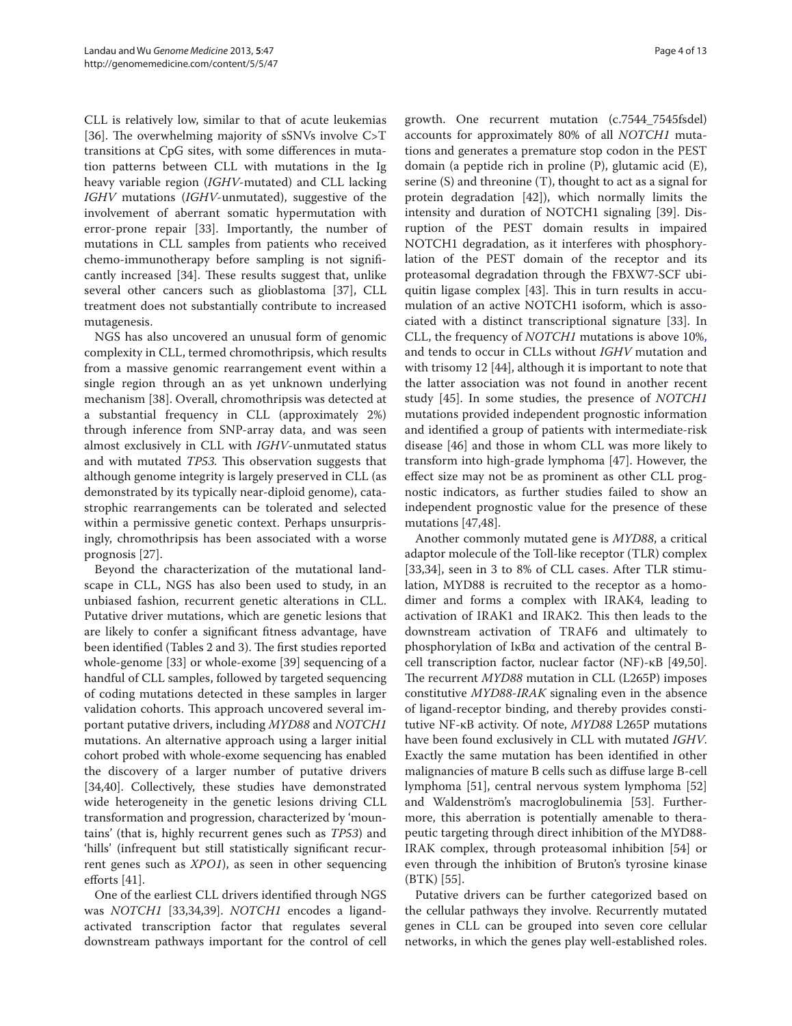CLL is relatively low, similar to that of acute leukemias [36]. The overwhelming majority of sSNVs involve C>T transitions at CpG sites, with some differences in mutation patterns between CLL with mutations in the Ig heavy variable region (*IGHV*-mutated) and CLL lacking *IGHV* mutations (*IGHV*-unmutated), suggestive of the involvement of aberrant somatic hypermutation with error-prone repair [33]. Importantly, the number of mutations in CLL samples from patients who received chemo-immunotherapy before sampling is not significantly increased [34]. These results suggest that, unlike several other cancers such as glioblastoma [37], CLL treatment does not substantially contribute to increased mutagenesis.

NGS has also uncovered an unusual form of genomic complexity in CLL, termed chromothripsis, which results from a massive genomic rearrangement event within a single region through an as yet unknown underlying mechanism [38]. Overall, chromothripsis was detected at a substantial frequency in CLL (approximately 2%) through inference from SNP-array data, and was seen almost exclusively in CLL with *IGHV*-unmutated status and with mutated *TP53.* This observation suggests that although genome integrity is largely preserved in CLL (as demonstrated by its typically near-diploid genome), catastrophic rearrangements can be tolerated and selected within a permissive genetic context. Perhaps unsurprisingly, chromothripsis has been associated with a worse prognosis [27].

Beyond the characterization of the mutational landscape in CLL, NGS has also been used to study, in an unbiased fashion, recurrent genetic alterations in CLL. Putative driver mutations, which are genetic lesions that are likely to confer a significant fitness advantage, have been identified (Tables 2 and 3). The first studies reported whole-genome [33] or whole-exome [39] sequencing of a handful of CLL samples, followed by targeted sequencing of coding mutations detected in these samples in larger validation cohorts. This approach uncovered several important putative drivers, including *MYD88* and *NOTCH1* mutations. An alternative approach using a larger initial cohort probed with whole-exome sequencing has enabled the discovery of a larger number of putative drivers [34,40]. Collectively, these studies have demonstrated wide heterogeneity in the genetic lesions driving CLL transformation and progression, characterized by 'mountains' (that is, highly recurrent genes such as *TP53*) and 'hills' (infrequent but still statistically significant recurrent genes such as *XPO1*), as seen in other sequencing efforts [41].

One of the earliest CLL drivers identified through NGS was *NOTCH1* [33,34,39]. *NOTCH1* encodes a ligandactivated transcription factor that regulates several downstream pathways important for the control of cell growth. One recurrent mutation (c.7544\_7545fsdel) accounts for approximately 80% of all *NOTCH1* mutations and generates a premature stop codon in the PEST domain (a peptide rich in proline (P), glutamic acid (E), serine (S) and threonine (T), thought to act as a signal for protein degradation [42]), which normally limits the intensity and duration of NOTCH1 signaling [39]. Disruption of the PEST domain results in impaired NOTCH1 degradation, as it interferes with phosphorylation of the PEST domain of the receptor and its proteasomal degradation through the FBXW7-SCF ubiquitin ligase complex [43]. This in turn results in accumulation of an active NOTCH1 isoform, which is associated with a distinct transcriptional signature [33]. In CLL, the frequency of *NOTCH1* mutations is above 10%, and tends to occur in CLLs without *IGHV* mutation and with trisomy 12 [44], although it is important to note that the latter association was not found in another recent study [45]. In some studies, the presence of *NOTCH1* mutations provided independent prognostic information and identified a group of patients with intermediate-risk disease [46] and those in whom CLL was more likely to transform into high-grade lymphoma [47]. However, the effect size may not be as prominent as other CLL prognostic indicators, as further studies failed to show an independent prognostic value for the presence of these mutations [47,48].

Another commonly mutated gene is *MYD88*, a critical adaptor molecule of the Toll-like receptor (TLR) complex [33,34], seen in 3 to 8% of CLL cases. After TLR stimulation, MYD88 is recruited to the receptor as a homodimer and forms a complex with IRAK4, leading to activation of IRAK1 and IRAK2. This then leads to the downstream activation of TRAF6 and ultimately to phosphorylation of IκBα and activation of the central Bcell transcription factor, nuclear factor (NF)-κB [49,50]. The recurrent *MYD88* mutation in CLL (L265P) imposes constitutive *MYD88-IRAK* signaling even in the absence of ligand-receptor binding, and thereby provides constitutive NF-κB activity. Of note, *MYD88* L265P mutations have been found exclusively in CLL with mutated *IGHV*. Exactly the same mutation has been identified in other malignancies of mature B cells such as diffuse large B-cell lymphoma [51], central nervous system lymphoma [52] and Waldenström's macroglobulinemia [53]. Furthermore, this aberration is potentially amenable to therapeutic targeting through direct inhibition of the MYD88- IRAK complex, through proteasomal inhibition [54] or even through the inhibition of Bruton's tyrosine kinase (BTK) [55].

Putative drivers can be further categorized based on the cellular pathways they involve. Recurrently mutated genes in CLL can be grouped into seven core cellular networks, in which the genes play well-established roles.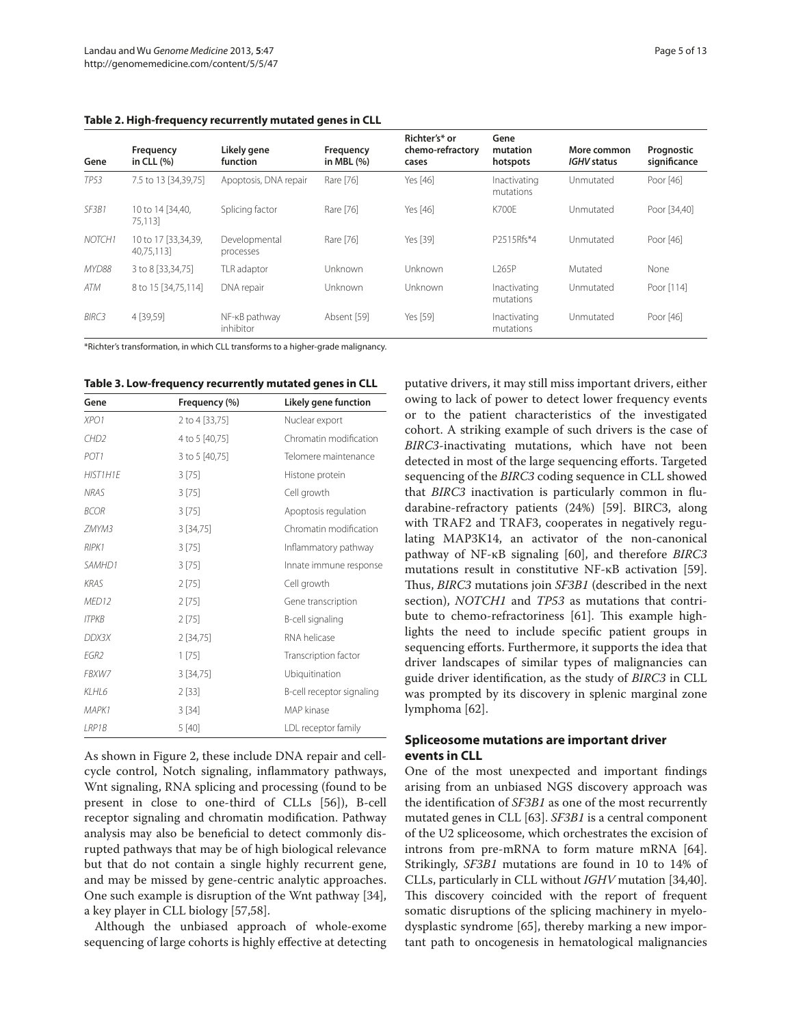| Gene               | Frequency<br>in CLL $(\% )$       | Likely gene<br>function    | Frequency<br>in MBL $(% )$ | Richter's* or<br>chemo-refractory<br>cases | Gene<br>mutation<br>hotspots | More common<br><b>IGHV</b> status | Prognostic<br>significance |
|--------------------|-----------------------------------|----------------------------|----------------------------|--------------------------------------------|------------------------------|-----------------------------------|----------------------------|
| <b>TP53</b>        | 7.5 to 13 [34,39,75]              | Apoptosis, DNA repair      | Rare [76]                  | Yes [46]                                   | Inactivating<br>mutations    | Unmutated                         | Poor [46]                  |
| SE3B1              | 10 to 14 [34,40,<br>75,113]       | Splicing factor            | Rare [76]                  | Yes [46]                                   | K700F                        | Unmutated                         | Poor [34,40]               |
| NOTCH <sub>1</sub> | 10 to 17 [33,34,39,<br>40,75,113] | Developmental<br>processes | Rare [76]                  | Yes [39]                                   | P2515Rfs*4                   | Unmutated                         | Poor [46]                  |
| MYD88              | 3 to 8 [33,34,75]                 | TLR adaptor                | Unknown                    | Unknown                                    | 1265P                        | Mutated                           | None                       |
| ATM                | 8 to 15 [34,75,114]               | DNA repair                 | Unknown                    | Unknown                                    | Inactivating<br>mutations    | Unmutated                         | Poor [114]                 |
| <b>BIRC3</b>       | 4 [39,59]                         | NF-KB pathway<br>inhibitor | Absent [59]                | Yes [59]                                   | Inactivating<br>mutations    | Unmutated                         | Poor [46]                  |

**Table 2. High-frequency recurrently mutated genes in CLL**

\*Richter's transformation, in which CLL transforms to a higher-grade malignancy.

**Table 3. Low-frequency recurrently mutated genes in CLL**

| Gene              | Frequency (%)  | Likely gene function      |  |
|-------------------|----------------|---------------------------|--|
| XPO1              | 2 to 4 [33,75] | Nuclear export            |  |
| CHD <sub>2</sub>  | 4 to 5 [40,75] | Chromatin modification    |  |
| POT <sub>1</sub>  | 3 to 5 [40,75] | Telomere maintenance      |  |
| HIST1H1F          | 3[75]          | Histone protein           |  |
| <b>NRAS</b>       | 3 [75]         | Cell growth               |  |
| <b>BCOR</b>       | 3[75]          | Apoptosis regulation      |  |
| 7MYM3             | 3 [34,75]      | Chromatin modification    |  |
| RIPK1             | 3[75]          | Inflammatory pathway      |  |
| SAMHD1            | 3[75]          | Innate immune response    |  |
| <b>KRAS</b>       | 2[75]          | Cell growth               |  |
| MED <sub>12</sub> | 2[75]          | Gene transcription        |  |
| <b>ITPKB</b>      | 2[75]          | B-cell signaling          |  |
| DDX3X             | 2 [34, 75]     | RNA helicase              |  |
| FGR2              | 1 [75]         | Transcription factor      |  |
| FBXW7             | 3[34,75]       | Ubiquitination            |  |
| KLHL6             | 2[33]          | B-cell receptor signaling |  |
| MAPK1             | 3[34]          | MAP kinase                |  |
| LRP1B             | 5[40]          | LDL receptor family       |  |

As shown in Figure 2, these include DNA repair and cellcycle control, Notch signaling, inflammatory pathways, Wnt signaling, RNA splicing and processing (found to be present in close to one-third of CLLs [56]), B-cell receptor signaling and chromatin modification. Pathway analysis may also be beneficial to detect commonly disrupted pathways that may be of high biological relevance but that do not contain a single highly recurrent gene, and may be missed by gene-centric analytic approaches. One such example is disruption of the Wnt pathway [34], a key player in CLL biology [57,58].

Although the unbiased approach of whole-exome sequencing of large cohorts is highly effective at detecting putative drivers, it may still miss important drivers, either owing to lack of power to detect lower frequency events or to the patient characteristics of the investigated cohort. A striking example of such drivers is the case of *BIRC3*-inactivating mutations, which have not been detected in most of the large sequencing efforts. Targeted sequencing of the *BIRC3* coding sequence in CLL showed that *BIRC3* inactivation is particularly common in fludarabine-refractory patients (24%) [59]. BIRC3, along with TRAF2 and TRAF3, cooperates in negatively regulating MAP3K14, an activator of the non-canonical pathway of NF-κB signaling [60], and therefore *BIRC3* mutations result in constitutive NF-κB activation [59]. Thus, *BIRC3* mutations join *SF3B1* (described in the next section), *NOTCH1* and *TP53* as mutations that contribute to chemo-refractoriness [61]. This example highlights the need to include specific patient groups in sequencing efforts. Furthermore, it supports the idea that driver landscapes of similar types of malignancies can guide driver identification, as the study of *BIRC3* in CLL was prompted by its discovery in splenic marginal zone lymphoma [62].

# **Spliceosome mutations are important driver events in CLL**

One of the most unexpected and important findings arising from an unbiased NGS discovery approach was the identification of *SF3B1* as one of the most recurrently mutated genes in CLL [63]. *SF3B1* is a central component of the U2 spliceosome, which orchestrates the excision of introns from pre-mRNA to form mature mRNA [64]. Strikingly, *SF3B1* mutations are found in 10 to 14% of CLLs, particularly in CLL without *IGHV* mutation [34,40]. This discovery coincided with the report of frequent somatic disruptions of the splicing machinery in myelodysplastic syndrome [65], thereby marking a new important path to oncogenesis in hematological malignancies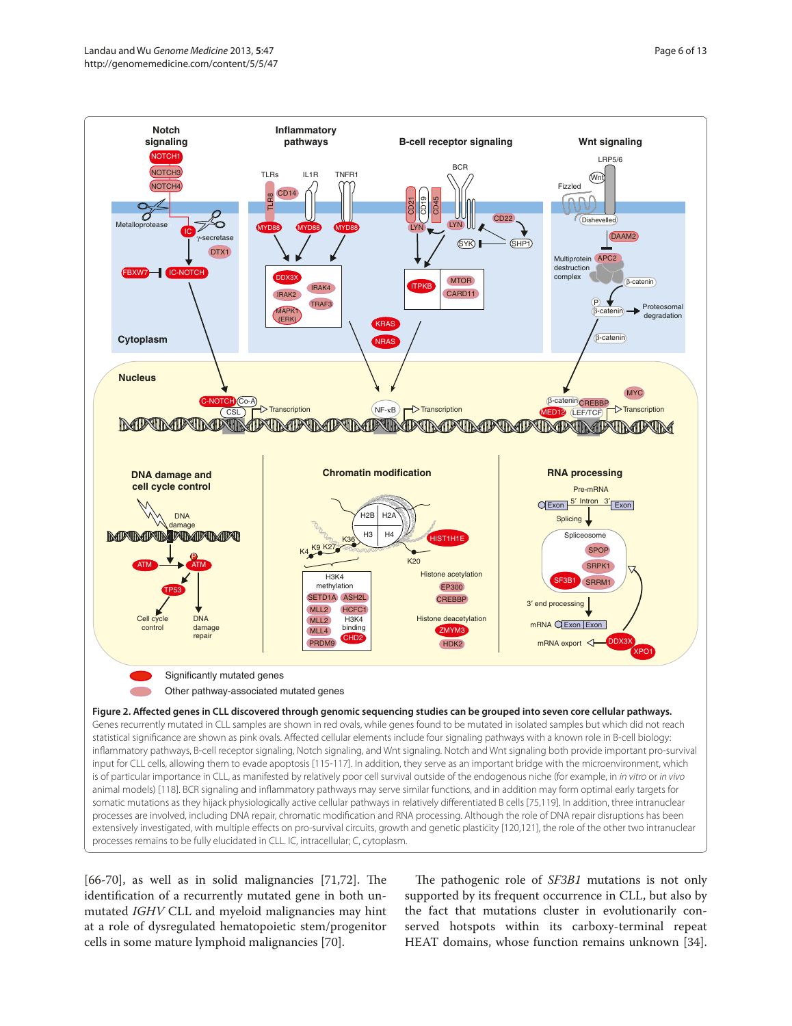

[66-70], as well as in solid malignancies [71,72]. The identification of a recurrently mutated gene in both unmutated *IGHV* CLL and myeloid malignancies may hint at a role of dysregulated hematopoietic stem/progenitor cells in some mature lymphoid malignancies [70].

The pathogenic role of *SF3B1* mutations is not only supported by its frequent occurrence in CLL, but also by the fact that mutations cluster in evolutionarily conserved hotspots within its carboxy-terminal repeat HEAT domains, whose function remains unknown [34].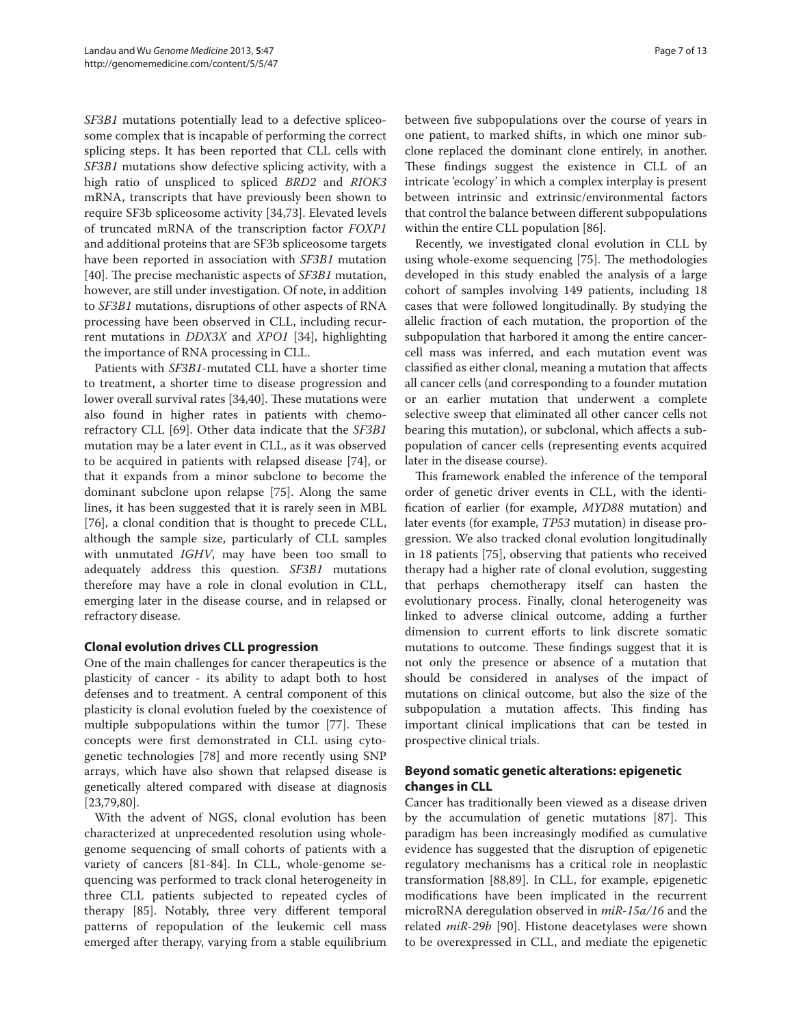*SF3B1* mutations potentially lead to a defective spliceosome complex that is incapable of performing the correct splicing steps. It has been reported that CLL cells with *SF3B1* mutations show defective splicing activity, with a high ratio of unspliced to spliced *BRD2* and *RIOK3* mRNA, transcripts that have previously been shown to require SF3b spliceosome activity [34,73]. Elevated levels of truncated mRNA of the transcription factor *FOXP1* and additional proteins that are SF3b spliceosome targets have been reported in association with *SF3B1* mutation [40]. The precise mechanistic aspects of *SF3B1* mutation, however, are still under investigation. Of note, in addition to *SF3B1* mutations, disruptions of other aspects of RNA processing have been observed in CLL, including recurrent mutations in *DDX3X* and *XPO1* [34], highlighting the importance of RNA processing in CLL.

Patients with *SF3B1*-mutated CLL have a shorter time to treatment, a shorter time to disease progression and lower overall survival rates [34,40]. These mutations were also found in higher rates in patients with chemorefractory CLL [69]. Other data indicate that the *SF3B1* mutation may be a later event in CLL, as it was observed to be acquired in patients with relapsed disease [74], or that it expands from a minor subclone to become the dominant subclone upon relapse [75]. Along the same lines, it has been suggested that it is rarely seen in MBL [76], a clonal condition that is thought to precede CLL, although the sample size, particularly of CLL samples with unmutated *IGHV*, may have been too small to adequately address this question. *SF3B1* mutations therefore may have a role in clonal evolution in CLL, emerging later in the disease course, and in relapsed or refractory disease.

## **Clonal evolution drives CLL progression**

One of the main challenges for cancer therapeutics is the plasticity of cancer - its ability to adapt both to host defenses and to treatment. A central component of this plasticity is clonal evolution fueled by the coexistence of multiple subpopulations within the tumor [77]. These concepts were first demonstrated in CLL using cytogenetic technologies [78] and more recently using SNP arrays, which have also shown that relapsed disease is genetically altered compared with disease at diagnosis [23,79,80].

With the advent of NGS, clonal evolution has been characterized at unprecedented resolution using wholegenome sequencing of small cohorts of patients with a variety of cancers [81-84]. In CLL, whole-genome sequencing was performed to track clonal heterogeneity in three CLL patients subjected to repeated cycles of therapy [85]. Notably, three very different temporal patterns of repopulation of the leukemic cell mass emerged after therapy, varying from a stable equilibrium between five subpopulations over the course of years in one patient, to marked shifts, in which one minor subclone replaced the dominant clone entirely, in another. These findings suggest the existence in CLL of an intricate 'ecology' in which a complex interplay is present between intrinsic and extrinsic/environmental factors that control the balance between different subpopulations within the entire CLL population [86].

Recently, we investigated clonal evolution in CLL by using whole-exome sequencing [75]. The methodologies developed in this study enabled the analysis of a large cohort of samples involving 149 patients, including 18 cases that were followed longitudinally. By studying the allelic fraction of each mutation, the proportion of the subpopulation that harbored it among the entire cancercell mass was inferred, and each mutation event was classified as either clonal, meaning a mutation that affects all cancer cells (and corresponding to a founder mutation or an earlier mutation that underwent a complete selective sweep that eliminated all other cancer cells not bearing this mutation), or subclonal, which affects a subpopulation of cancer cells (representing events acquired later in the disease course).

This framework enabled the inference of the temporal order of genetic driver events in CLL, with the identification of earlier (for example, *MYD88* mutation) and later events (for example, *TP53* mutation) in disease progression. We also tracked clonal evolution longitudinally in 18 patients [75], observing that patients who received therapy had a higher rate of clonal evolution, suggesting that perhaps chemotherapy itself can hasten the evolutionary process. Finally, clonal heterogeneity was linked to adverse clinical outcome, adding a further dimension to current efforts to link discrete somatic mutations to outcome. These findings suggest that it is not only the presence or absence of a mutation that should be considered in analyses of the impact of mutations on clinical outcome, but also the size of the subpopulation a mutation affects. This finding has important clinical implications that can be tested in prospective clinical trials.

# **Beyond somatic genetic alterations: epigenetic changes in CLL**

Cancer has traditionally been viewed as a disease driven by the accumulation of genetic mutations [87]. This paradigm has been increasingly modified as cumulative evidence has suggested that the disruption of epigenetic regulatory mechanisms has a critical role in neoplastic transformation [88,89]. In CLL, for example, epigenetic modifications have been implicated in the recurrent microRNA deregulation observed in *miR-15a/16* and the related *miR-29b* [90]. Histone deacetylases were shown to be overexpressed in CLL, and mediate the epigenetic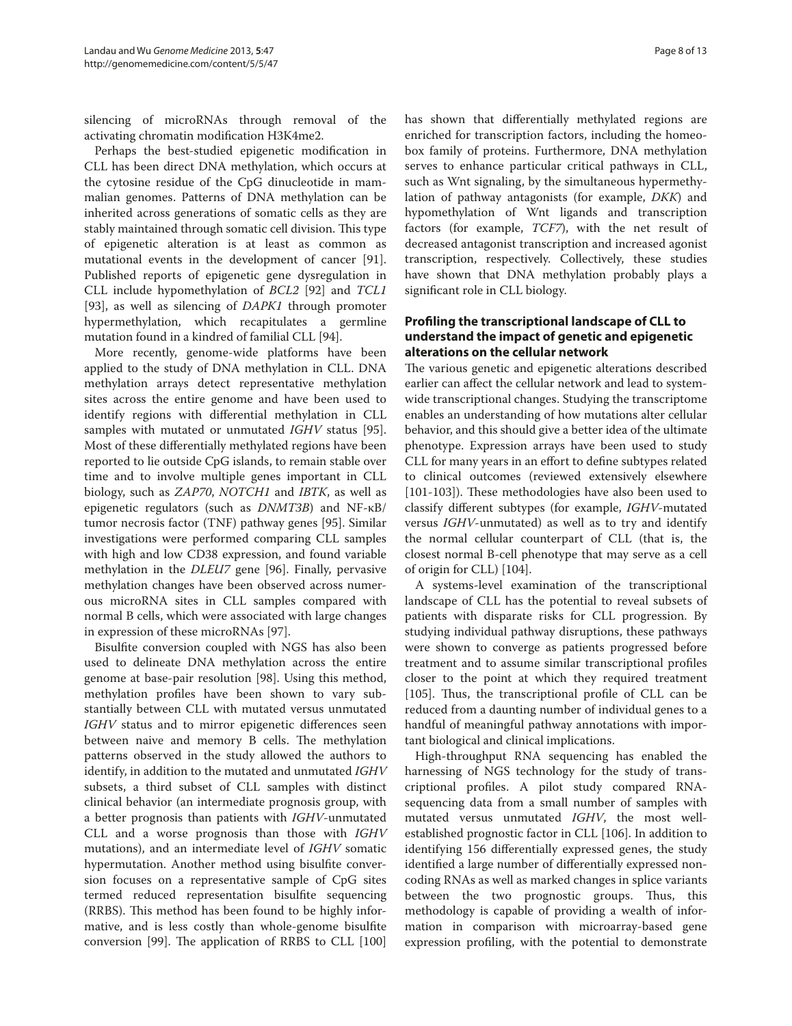silencing of microRNAs through removal of the activating chromatin modification H3K4me2.

Perhaps the best-studied epigenetic modification in CLL has been direct DNA methylation, which occurs at the cytosine residue of the CpG dinucleotide in mammalian genomes. Patterns of DNA methylation can be inherited across generations of somatic cells as they are stably maintained through somatic cell division. This type of epigenetic alteration is at least as common as mutational events in the development of cancer [91]. Published reports of epigenetic gene dysregulation in CLL include hypomethylation of *BCL2* [92] and *TCL1*  [93], as well as silencing of *DAPK1* through promoter hypermethylation, which recapitulates a germline mutation found in a kindred of familial CLL [94].

More recently, genome-wide platforms have been applied to the study of DNA methylation in CLL. DNA methylation arrays detect representative methylation sites across the entire genome and have been used to identify regions with differential methylation in CLL samples with mutated or unmutated *IGHV* status [95]. Most of these differentially methylated regions have been reported to lie outside CpG islands, to remain stable over time and to involve multiple genes important in CLL biology, such as *ZAP70*, *NOTCH1* and *IBTK*, as well as epigenetic regulators (such as *DNMT3B*) and NF-κB/ tumor necrosis factor (TNF) pathway genes [95]. Similar investigations were performed comparing CLL samples with high and low CD38 expression, and found variable methylation in the *DLEU7* gene [96]. Finally, pervasive methylation changes have been observed across numerous microRNA sites in CLL samples compared with normal B cells, which were associated with large changes in expression of these microRNAs [97].

Bisulfite conversion coupled with NGS has also been used to delineate DNA methylation across the entire genome at base-pair resolution [98]. Using this method, methylation profiles have been shown to vary substantially between CLL with mutated versus unmutated *IGHV* status and to mirror epigenetic differences seen between naive and memory B cells. The methylation patterns observed in the study allowed the authors to identify, in addition to the mutated and unmutated *IGHV* subsets, a third subset of CLL samples with distinct clinical behavior (an intermediate prognosis group, with a better prognosis than patients with *IGHV*-unmutated CLL and a worse prognosis than those with *IGHV* mutations), and an intermediate level of *IGHV* somatic hypermutation. Another method using bisulfite conversion focuses on a representative sample of CpG sites termed reduced representation bisulfite sequencing (RRBS). This method has been found to be highly informative, and is less costly than whole-genome bisulfite conversion [99]. The application of RRBS to CLL [100] has shown that differentially methylated regions are enriched for transcription factors, including the homeobox family of proteins. Furthermore, DNA methylation serves to enhance particular critical pathways in CLL, such as Wnt signaling, by the simultaneous hypermethylation of pathway antagonists (for example, *DKK*) and hypomethylation of Wnt ligands and transcription factors (for example, *TCF7*), with the net result of decreased antagonist transcription and increased agonist transcription, respectively. Collectively, these studies have shown that DNA methylation probably plays a significant role in CLL biology.

# **Profiling the transcriptional landscape of CLL to understand the impact of genetic and epigenetic alterations on the cellular network**

The various genetic and epigenetic alterations described earlier can affect the cellular network and lead to systemwide transcriptional changes. Studying the transcriptome enables an understanding of how mutations alter cellular behavior, and this should give a better idea of the ultimate phenotype. Expression arrays have been used to study CLL for many years in an effort to define subtypes related to clinical outcomes (reviewed extensively elsewhere [101-103]). These methodologies have also been used to classify different subtypes (for example, *IGHV*-mutated versus *IGHV*-unmutated) as well as to try and identify the normal cellular counterpart of CLL (that is, the closest normal B-cell phenotype that may serve as a cell of origin for CLL) [104].

A systems-level examination of the transcriptional landscape of CLL has the potential to reveal subsets of patients with disparate risks for CLL progression. By studying individual pathway disruptions, these pathways were shown to converge as patients progressed before treatment and to assume similar transcriptional profiles closer to the point at which they required treatment [105]. Thus, the transcriptional profile of CLL can be reduced from a daunting number of individual genes to a handful of meaningful pathway annotations with important biological and clinical implications.

High-throughput RNA sequencing has enabled the harnessing of NGS technology for the study of transcriptional profiles. A pilot study compared RNAsequencing data from a small number of samples with mutated versus unmutated *IGHV*, the most wellestablished prognostic factor in CLL [106]. In addition to identifying 156 differentially expressed genes, the study identified a large number of differentially expressed noncoding RNAs as well as marked changes in splice variants between the two prognostic groups. Thus, this methodology is capable of providing a wealth of information in comparison with microarray-based gene expression profiling, with the potential to demonstrate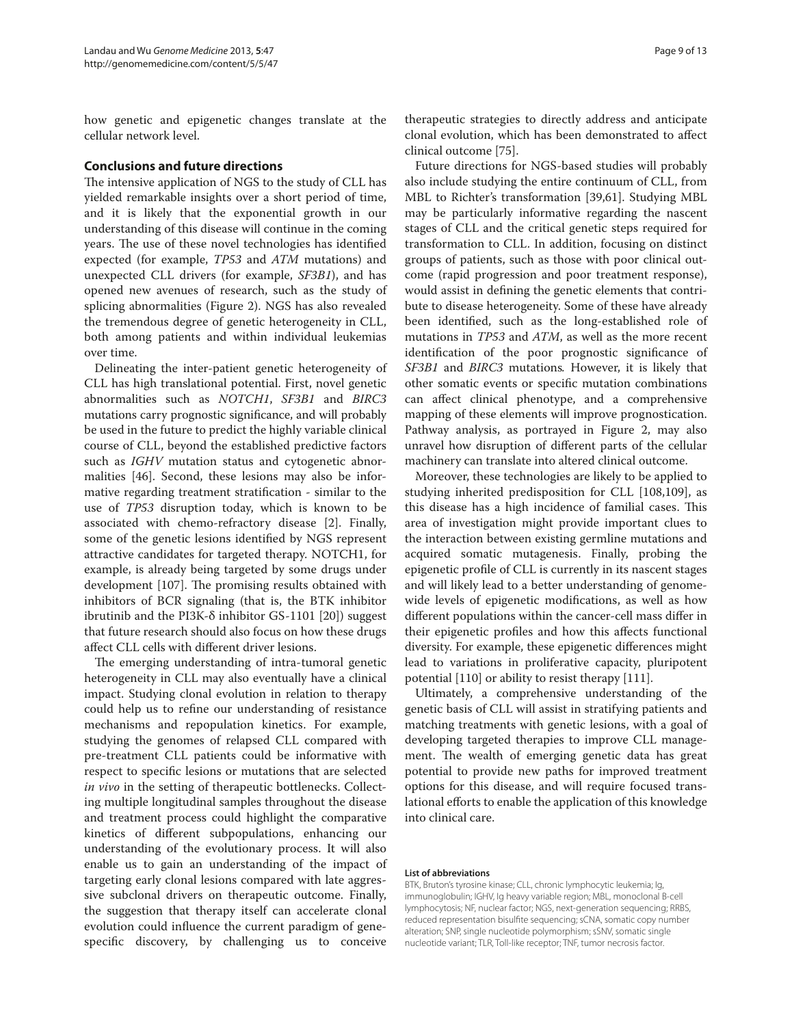how genetic and epigenetic changes translate at the cellular network level.

## **Conclusions and future directions**

The intensive application of NGS to the study of CLL has yielded remarkable insights over a short period of time, and it is likely that the exponential growth in our understanding of this disease will continue in the coming years. The use of these novel technologies has identified expected (for example, *TP53* and *ATM* mutations) and unexpected CLL drivers (for example, *SF3B1*), and has opened new avenues of research, such as the study of splicing abnormalities (Figure 2). NGS has also revealed the tremendous degree of genetic heterogeneity in CLL, both among patients and within individual leukemias over time.

Delineating the inter-patient genetic heterogeneity of CLL has high translational potential. First, novel genetic abnormalities such as *NOTCH1*, *SF3B1* and *BIRC3* mutations carry prognostic significance, and will probably be used in the future to predict the highly variable clinical course of CLL, beyond the established predictive factors such as *IGHV* mutation status and cytogenetic abnormalities [46]. Second, these lesions may also be informative regarding treatment stratification - similar to the use of *TP53* disruption today, which is known to be associated with chemo-refractory disease [2]. Finally, some of the genetic lesions identified by NGS represent attractive candidates for targeted therapy. NOTCH1, for example, is already being targeted by some drugs under development [107]. The promising results obtained with inhibitors of BCR signaling (that is, the BTK inhibitor ibrutinib and the PI3K- $\delta$  inhibitor GS-1101 [20]) suggest that future research should also focus on how these drugs affect CLL cells with different driver lesions.

The emerging understanding of intra-tumoral genetic heterogeneity in CLL may also eventually have a clinical impact. Studying clonal evolution in relation to therapy could help us to refine our understanding of resistance mechanisms and repopulation kinetics. For example, studying the genomes of relapsed CLL compared with pre-treatment CLL patients could be informative with respect to specific lesions or mutations that are selected *in vivo* in the setting of therapeutic bottlenecks. Collecting multiple longitudinal samples throughout the disease and treatment process could highlight the comparative kinetics of different subpopulations, enhancing our understanding of the evolutionary process. It will also enable us to gain an understanding of the impact of targeting early clonal lesions compared with late aggressive subclonal drivers on therapeutic outcome. Finally, the suggestion that therapy itself can accelerate clonal evolution could influence the current paradigm of genespecific discovery, by challenging us to conceive therapeutic strategies to directly address and anticipate clonal evolution, which has been demonstrated to affect clinical outcome [75].

Future directions for NGS-based studies will probably also include studying the entire continuum of CLL, from MBL to Richter's transformation [39,61]. Studying MBL may be particularly informative regarding the nascent stages of CLL and the critical genetic steps required for transformation to CLL. In addition, focusing on distinct groups of patients, such as those with poor clinical outcome (rapid progression and poor treatment response), would assist in defining the genetic elements that contribute to disease heterogeneity. Some of these have already been identified, such as the long-established role of mutations in *TP53* and *ATM*, as well as the more recent identification of the poor prognostic significance of *SF3B1* and *BIRC3* mutations*.* However, it is likely that other somatic events or specific mutation combinations can affect clinical phenotype, and a comprehensive mapping of these elements will improve prognostication. Pathway analysis, as portrayed in Figure 2, may also unravel how disruption of different parts of the cellular machinery can translate into altered clinical outcome.

Moreover, these technologies are likely to be applied to studying inherited predisposition for CLL [108,109], as this disease has a high incidence of familial cases. This area of investigation might provide important clues to the interaction between existing germline mutations and acquired somatic mutagenesis. Finally, probing the epigenetic profile of CLL is currently in its nascent stages and will likely lead to a better understanding of genomewide levels of epigenetic modifications, as well as how different populations within the cancer-cell mass differ in their epigenetic profiles and how this affects functional diversity. For example, these epigenetic differences might lead to variations in proliferative capacity, pluripotent potential [110] or ability to resist therapy [111].

Ultimately, a comprehensive understanding of the genetic basis of CLL will assist in stratifying patients and matching treatments with genetic lesions, with a goal of developing targeted therapies to improve CLL management. The wealth of emerging genetic data has great potential to provide new paths for improved treatment options for this disease, and will require focused translational efforts to enable the application of this knowledge into clinical care.

#### **List of abbreviations**

BTK, Bruton's tyrosine kinase; CLL, chronic lymphocytic leukemia; Ig, immunoglobulin; IGHV, Ig heavy variable region; MBL, monoclonal B-cell lymphocytosis; NF, nuclear factor; NGS, next-generation sequencing; RRBS, reduced representation bisulfite sequencing; sCNA, somatic copy number alteration; SNP, single nucleotide polymorphism; sSNV, somatic single nucleotide variant; TLR, Toll-like receptor; TNF, tumor necrosis factor.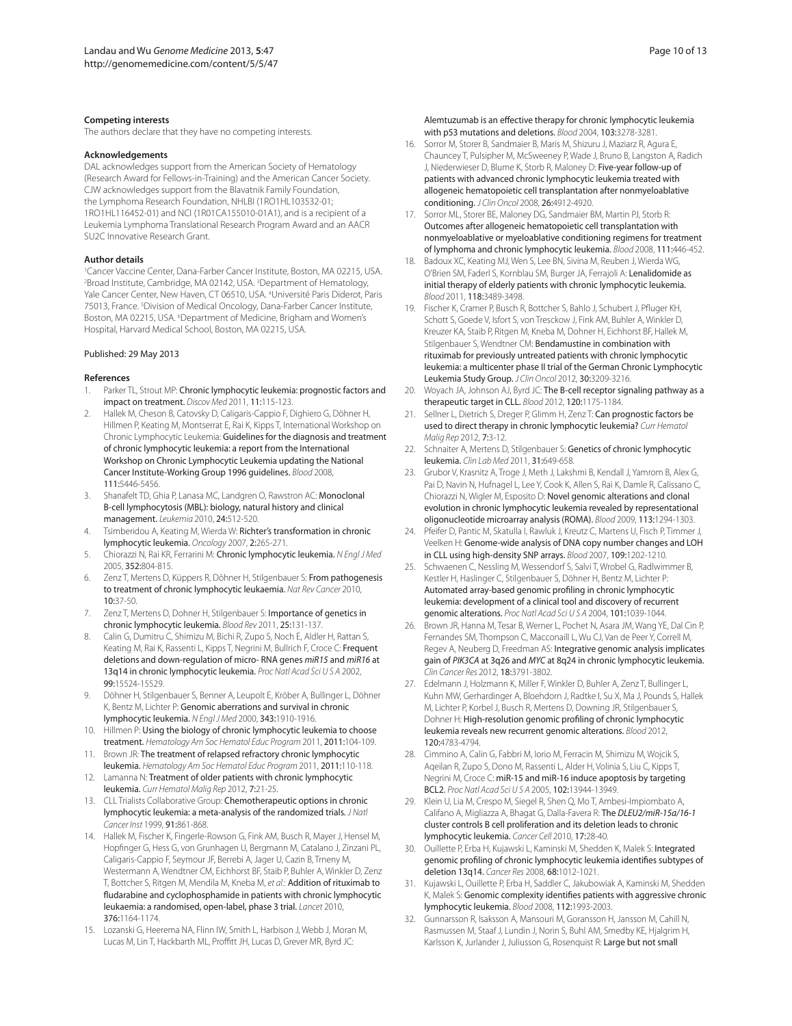## **Competing interests**

The authors declare that they have no competing interests.

#### **Acknowledgements**

DAL acknowledges support from the American Society of Hematology (Research Award for Fellows-in-Training) and the American Cancer Society. CJW acknowledges support from the Blavatnik Family Foundation, the Lymphoma Research Foundation, NHLBI (1RO1HL103532-01; 1RO1HL116452-01) and NCI (1R01CA155010-01A1), and is a recipient of a Leukemia Lymphoma Translational Research Program Award and an AACR SU2C Innovative Research Grant.

## **Author details**

1 Cancer Vaccine Center, Dana-Farber Cancer Institute, Boston, MA 02215, USA. <sup>2</sup>Broad Institute, Cambridge, MA 02142, USA. <sup>3</sup>Department of Hematology, Yale Cancer Center, New Haven, CT 06510, USA. <sup>4</sup>Université Paris Diderot, Paris 75013, France. <sup>5</sup>Division of Medical Oncology, Dana-Farber Cancer Institute, Boston, MA 02215, USA. <sup>6</sup>Department of Medicine, Brigham and Women's Hospital, Harvard Medical School, Boston, MA 02215, USA.

## Published: 29 May 2013

### **References**

- 1. Parker TL, Strout MP: Chronic lymphocytic leukemia: prognostic factors and impact on treatment. *Discov Med* 2011, 11:115-123.
- Hallek M, Cheson B, Catovsky D, Caligaris-Cappio F, Dighiero G, Döhner H, Hillmen P, Keating M, Montserrat E, Rai K, Kipps T, International Workshop on Chronic Lymphocytic Leukemia: Guidelines for the diagnosis and treatment of chronic lymphocytic leukemia: a report from the International Workshop on Chronic Lymphocytic Leukemia updating the National Cancer Institute-Working Group 1996 guidelines. *Blood* 2008, 111:5446-5456.
- Shanafelt TD, Ghia P, Lanasa MC, Landgren O, Rawstron AC: Monoclonal B-cell lymphocytosis (MBL): biology, natural history and clinical management. *Leukemia* 2010, 24:512-520.
- Tsimberidou A, Keating M, Wierda W: Richter's transformation in chronic lymphocytic leukemia. *Oncology* 2007, 2:265-271.
- 5. Chiorazzi N, Rai KR, Ferrarini M: Chronic lymphocytic leukemia. *N Engl J Med*  2005, 352:804-815.
- 6. Zenz T, Mertens D, Küppers R, Döhner H, Stilgenbauer S: From pathogenesis to treatment of chronic lymphocytic leukaemia. *Nat Rev Cancer* 2010, 10:37-50.
- 7. Zenz T, Mertens D, Dohner H, Stilgenbauer S: Importance of genetics in chronic lymphocytic leukemia. *Blood Rev* 2011, 25:131-137.
- Calin G, Dumitru C, Shimizu M, Bichi R, Zupo S, Noch E, Aldler H, Rattan S, Keating M, Rai K, Rassenti L, Kipps T, Negrini M, Bullrich F, Croce C: Frequent deletions and down-regulation of micro- RNA genes *miR15* and *miR16* at 13q14 in chronic lymphocytic leukemia. *Proc Natl Acad Sci U S A* 2002, 99:15524-15529.
- 9. Döhner H, Stilgenbauer S, Benner A, Leupolt E, Kröber A, Bullinger L, Döhner K, Bentz M, Lichter P: Genomic aberrations and survival in chronic lymphocytic leukemia. *N Engl J Med* 2000, 343:1910-1916.
- 10. Hillmen P: Using the biology of chronic lymphocytic leukemia to choose treatment. *Hematology Am Soc Hematol Educ Program* 2011, 2011:104-109.
- 11. Brown JR: The treatment of relapsed refractory chronic lymphocytic leukemia. *Hematology Am Soc Hematol Educ Program* 2011, 2011:110-118.
- 12. Lamanna N: Treatment of older patients with chronic lymphocytic leukemia. *Curr Hematol Malig Rep* 2012, 7:21-25.
- 13. CLL Trialists Collaborative Group: Chemotherapeutic options in chronic lymphocytic leukemia: a meta-analysis of the randomized trials. *J Natl Cancer Inst* 1999, 91:861-868.
- 14. Hallek M, Fischer K, Fingerle-Rowson G, Fink AM, Busch R, Mayer J, Hensel M, Hopfinger G, Hess G, von Grunhagen U, Bergmann M, Catalano J, Zinzani PL, Caligaris-Cappio F, Seymour JF, Berrebi A, Jager U, Cazin B, Trneny M, Westermann A, Wendtner CM, Eichhorst BF, Staib P, Buhler A, Winkler D, Zenz T, Bottcher S, Ritgen M, Mendila M, Kneba M, *et al.*: Addition of rituximab to fludarabine and cyclophosphamide in patients with chronic lymphocytic leukaemia: a randomised, open-label, phase 3 trial. *Lancet* 2010, 376:1164-1174.
- 15. Lozanski G, Heerema NA, Flinn IW, Smith L, Harbison J, Webb J, Moran M, Lucas M, Lin T, Hackbarth ML, Proffitt JH, Lucas D, Grever MR, Byrd JC:

#### Alemtuzumab is an effective therapy for chronic lymphocytic leukemia with p53 mutations and deletions. *Blood* 2004, 103:3278-3281.

- 16. Sorror M, Storer B, Sandmaier B, Maris M, Shizuru J, Maziarz R, Agura E, Chauncey T, Pulsipher M, McSweeney P, Wade J, Bruno B, Langston A, Radich J, Niederwieser D, Blume K, Storb R, Maloney D: Five-year follow-up of patients with advanced chronic lymphocytic leukemia treated with allogeneic hematopoietic cell transplantation after nonmyeloablative conditioning. *J Clin Oncol* 2008, 26:4912-4920.
- 17. Sorror ML, Storer BE, Maloney DG, Sandmaier BM, Martin PJ, Storb R: Outcomes after allogeneic hematopoietic cell transplantation with nonmyeloablative or myeloablative conditioning regimens for treatment of lymphoma and chronic lymphocytic leukemia. *Blood* 2008, 111:446-452.
- 18. Badoux XC, Keating MJ, Wen S, Lee BN, Sivina M, Reuben J, Wierda WG, O'Brien SM, Faderl S, Kornblau SM, Burger JA, Ferrajoli A: Lenalidomide as initial therapy of elderly patients with chronic lymphocytic leukemia. *Blood* 2011, 118:3489-3498.
- 19. Fischer K, Cramer P, Busch R, Bottcher S, Bahlo J, Schubert J, Pfluger KH, Schott S, Goede V, Isfort S, von Tresckow J, Fink AM, Buhler A, Winkler D, Kreuzer KA, Staib P, Ritgen M, Kneba M, Dohner H, Eichhorst BF, Hallek M, Stilgenbauer S, Wendtner CM: Bendamustine in combination with rituximab for previously untreated patients with chronic lymphocytic leukemia: a multicenter phase II trial of the German Chronic Lymphocytic Leukemia Study Group. *J Clin Oncol* 2012, 30:3209-3216.
- 20. Woyach JA, Johnson AJ, Byrd JC: The B-cell receptor signaling pathway as a therapeutic target in CLL. *Blood* 2012, 120:1175-1184.
- 21. Sellner L, Dietrich S, Dreger P, Glimm H, Zenz T: Can prognostic factors be used to direct therapy in chronic lymphocytic leukemia? *Curr Hematol Malig Rep* 2012, 7:3-12.
- 22. Schnaiter A, Mertens D, Stilgenbauer S: Genetics of chronic lymphocytic leukemia. *Clin Lab Med* 2011, 31:649-658.
- 23. Grubor V, Krasnitz A, Troge J, Meth J, Lakshmi B, Kendall J, Yamrom B, Alex G, Pai D, Navin N, Hufnagel L, Lee Y, Cook K, Allen S, Rai K, Damle R, Calissano C, Chiorazzi N, Wigler M, Esposito D: Novel genomic alterations and clonal evolution in chronic lymphocytic leukemia revealed by representational oligonucleotide microarray analysis (ROMA). *Blood* 2009, 113:1294-1303.
- 24. Pfeifer D, Pantic M, Skatulla I, Rawluk J, Kreutz C, Martens U, Fisch P, Timmer J, Veelken H: Genome-wide analysis of DNA copy number changes and LOH in CLL using high-density SNP arrays. *Blood* 2007, 109:1202-1210.
- 25. Schwaenen C, Nessling M, Wessendorf S, Salvi T, Wrobel G, Radlwimmer B, Kestler H, Haslinger C, Stilgenbauer S, Döhner H, Bentz M, Lichter P: Automated array-based genomic profiling in chronic lymphocytic leukemia: development of a clinical tool and discovery of recurrent genomic alterations. *Proc Natl Acad Sci U S A* 2004, 101:1039-1044.
- 26. Brown JR, Hanna M, Tesar B, Werner L, Pochet N, Asara JM, Wang YE, Dal Cin P, Fernandes SM, Thompson C, Macconaill L, Wu CJ, Van de Peer Y, Correll M, Regev A, Neuberg D, Freedman AS: Integrative genomic analysis implicates gain of *PIK3CA* at 3q26 and *MYC* at 8q24 in chronic lymphocytic leukemia. *Clin Cancer Res* 2012, 18:3791-3802.
- 27. Edelmann J, Holzmann K, Miller F, Winkler D, Buhler A, Zenz T, Bullinger L, Kuhn MW, Gerhardinger A, Bloehdorn J, Radtke I, Su X, Ma J, Pounds S, Hallek M, Lichter P, Korbel J, Busch R, Mertens D, Downing JR, Stilgenbauer S, Dohner H: High-resolution genomic profiling of chronic lymphocytic leukemia reveals new recurrent genomic alterations. *Blood* 2012, 120:4783-4794.
- 28. Cimmino A, Calin G, Fabbri M, Iorio M, Ferracin M, Shimizu M, Wojcik S, Aqeilan R, Zupo S, Dono M, Rassenti L, Alder H, Volinia S, Liu C, Kipps T, Negrini M, Croce C: miR-15 and miR-16 induce apoptosis by targeting BCL2. *Proc Natl Acad Sci U S A* 2005, 102:13944-13949.
- 29. Klein U, Lia M, Crespo M, Siegel R, Shen Q, Mo T, Ambesi-Impiombato A, Califano A, Migliazza A, Bhagat G, Dalla-Favera R: The *DLEU2/miR-15a/16-1* cluster controls B cell proliferation and its deletion leads to chronic lymphocytic leukemia. *Cancer Cell* 2010, 17:28-40.
- 30. Ouillette P, Erba H, Kujawski L, Kaminski M, Shedden K, Malek S: Integrated genomic profiling of chronic lymphocytic leukemia identifies subtypes of deletion 13q14. *Cancer Res* 2008, 68:1012-1021.
- 31. Kujawski L, Ouillette P, Erba H, Saddler C, Jakubowiak A, Kaminski M, Shedden K, Malek S: Genomic complexity identifies patients with aggressive chronic lymphocytic leukemia. *Blood* 2008, 112:1993-2003.
- 32. Gunnarsson R, Isaksson A, Mansouri M, Goransson H, Jansson M, Cahill N, Rasmussen M, Staaf J, Lundin J, Norin S, Buhl AM, Smedby KE, Hjalgrim H, Karlsson K, Jurlander J, Juliusson G, Rosenquist R: Large but not small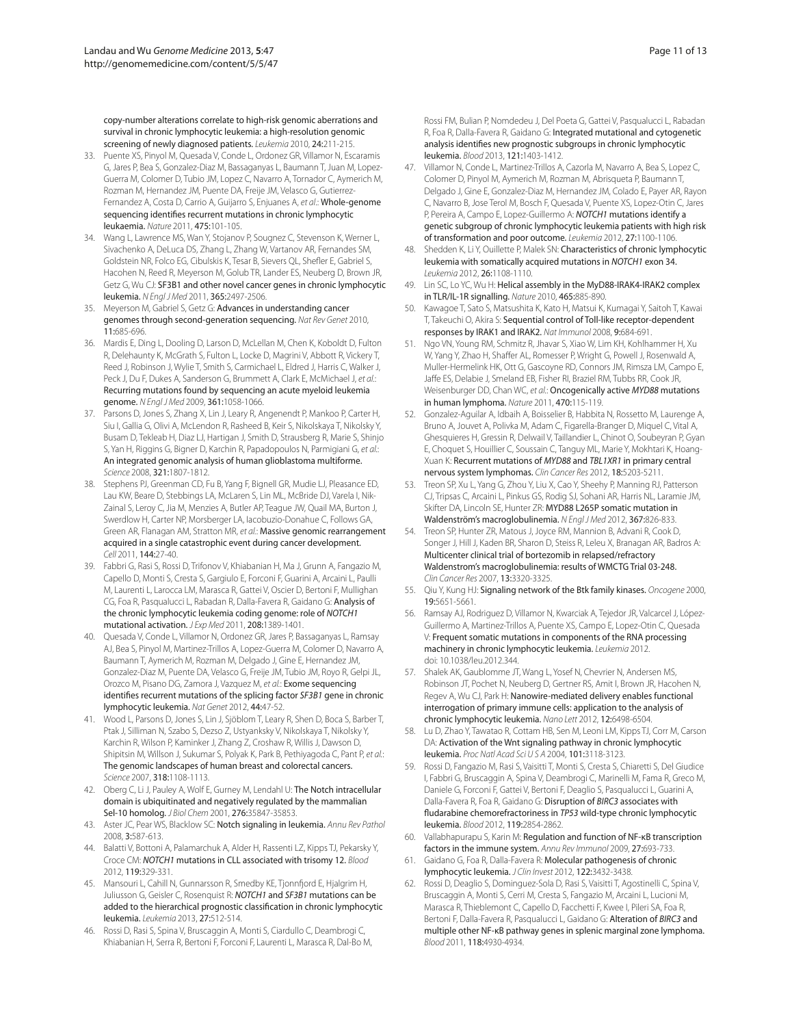copy-number alterations correlate to high-risk genomic aberrations and survival in chronic lymphocytic leukemia: a high-resolution genomic screening of newly diagnosed patients. *Leukemia* 2010, 24:211-215.

- 33. Puente XS, Pinyol M, Quesada V, Conde L, Ordonez GR, Villamor N, Escaramis G, Jares P, Bea S, Gonzalez-Diaz M, Bassaganyas L, Baumann T, Juan M, Lopez-Guerra M, Colomer D, Tubio JM, Lopez C, Navarro A, Tornador C, Aymerich M, Rozman M, Hernandez JM, Puente DA, Freije JM, Velasco G, Gutierrez-Fernandez A, Costa D, Carrio A, Guijarro S, Enjuanes A, *et al*.: Whole-genome sequencing identifies recurrent mutations in chronic lymphocytic leukaemia. *Nature* 2011, 475:101-105.
- 34. Wang L, Lawrence MS, Wan Y, Stojanov P, Sougnez C, Stevenson K, Werner L, Sivachenko A, DeLuca DS, Zhang L, Zhang W, Vartanov AR, Fernandes SM, Goldstein NR, Folco EG, Cibulskis K, Tesar B, Sievers QL, Shefler E, Gabriel S, Hacohen N, Reed R, Meyerson M, Golub TR, Lander ES, Neuberg D, Brown JR, Getz G, Wu CJ: SF3B1 and other novel cancer genes in chronic lymphocytic leukemia. *N Engl J Med* 2011, 365:2497-2506.
- 35. Meyerson M, Gabriel S, Getz G: Advances in understanding cancer genomes through second-generation sequencing. *Nat Rev Genet* 2010, 11:685-696.
- 36. Mardis E, Ding L, Dooling D, Larson D, McLellan M, Chen K, Koboldt D, Fulton R, Delehaunty K, McGrath S, Fulton L, Locke D, Magrini V, Abbott R, Vickery T, Reed J, Robinson J, Wylie T, Smith S, Carmichael L, Eldred J, Harris C, Walker J, Peck J, Du F, Dukes A, Sanderson G, Brummett A, Clark E, McMichael J, *et al.*: Recurring mutations found by sequencing an acute myeloid leukemia genome. *N Engl J Med* 2009, 361:1058-1066.
- 37. Parsons D, Jones S, Zhang X, Lin J, Leary R, Angenendt P, Mankoo P, Carter H, Siu I, Gallia G, Olivi A, McLendon R, Rasheed B, Keir S, Nikolskaya T, Nikolsky Y, Busam D, Tekleab H, Diaz LJ, Hartigan J, Smith D, Strausberg R, Marie S, Shinjo S, Yan H, Riggins G, Bigner D, Karchin R, Papadopoulos N, Parmigiani G, *et al.*: An integrated genomic analysis of human glioblastoma multiforme. *Science* 2008, 321:1807-1812.
- 38. Stephens PJ, Greenman CD, Fu B, Yang F, Bignell GR, Mudie LJ, Pleasance ED, Lau KW, Beare D, Stebbings LA, McLaren S, Lin ML, McBride DJ, Varela I, Nik-Zainal S, Leroy C, Jia M, Menzies A, Butler AP, Teague JW, Quail MA, Burton J, Swerdlow H, Carter NP, Morsberger LA, Iacobuzio-Donahue C, Follows GA, Green AR, Flanagan AM, Stratton MR, *et al.*: Massive genomic rearrangement acquired in a single catastrophic event during cancer development. *Cell* 2011, 144:27-40.
- 39. Fabbri G, Rasi S, Rossi D, Trifonov V, Khiabanian H, Ma J, Grunn A, Fangazio M, Capello D, Monti S, Cresta S, Gargiulo E, Forconi F, Guarini A, Arcaini L, Paulli M, Laurenti L, Larocca LM, Marasca R, Gattei V, Oscier D, Bertoni F, Mullighan CG, Foa R, Pasqualucci L, Rabadan R, Dalla-Favera R, Gaidano G: Analysis of the chronic lymphocytic leukemia coding genome: role of *NOTCH1* mutational activation. *J Exp Med* 2011, 208:1389-1401.
- 40. Quesada V, Conde L, Villamor N, Ordonez GR, Jares P, Bassaganyas L, Ramsay AJ, Bea S, Pinyol M, Martinez-Trillos A, Lopez-Guerra M, Colomer D, Navarro A, Baumann T, Aymerich M, Rozman M, Delgado J, Gine E, Hernandez JM, Gonzalez-Diaz M, Puente DA, Velasco G, Freije JM, Tubio JM, Royo R, Gelpi JL, Orozco M, Pisano DG, Zamora J, Vazquez M, *et al.*: Exome sequencing identifies recurrent mutations of the splicing factor *SF3B1* gene in chronic lymphocytic leukemia. *Nat Genet* 2012, 44:47-52.
- 41. Wood L, Parsons D, Jones S, Lin J, Sjöblom T, Leary R, Shen D, Boca S, Barber T, Ptak J, Silliman N, Szabo S, Dezso Z, Ustyanksky V, Nikolskaya T, Nikolsky Y, Karchin R, Wilson P, Kaminker J, Zhang Z, Croshaw R, Willis J, Dawson D, Shipitsin M, Willson J, Sukumar S, Polyak K, Park B, Pethiyagoda C, Pant P, *et al.*: The genomic landscapes of human breast and colorectal cancers. *Science* 2007, 318:1108-1113.
- 42. Oberg C, Li J, Pauley A, Wolf E, Gurney M, Lendahl U: The Notch intracellular domain is ubiquitinated and negatively regulated by the mammalian Sel-10 homolog. *J Biol Chem* 2001, 276:35847-35853.
- 43. Aster JC, Pear WS, Blacklow SC: Notch signaling in leukemia. *Annu Rev Pathol*  2008, 3:587-613.
- 44. Balatti V, Bottoni A, Palamarchuk A, Alder H, Rassenti LZ, Kipps TJ, Pekarsky Y, Croce CM: *NOTCH1* mutations in CLL associated with trisomy 12. *Blood*  2012, 119:329-331.
- 45. Mansouri L, Cahill N, Gunnarsson R, Smedby KE, Tjonnfjord E, Hjalgrim H, Juliusson G, Geisler C, Rosenquist R: *NOTCH1* and *SF3B1* mutations can be added to the hierarchical prognostic classification in chronic lymphocytic leukemia. *Leukemia* 2013, 27:512-514.
- 46. Rossi D, Rasi S, Spina V, Bruscaggin A, Monti S, Ciardullo C, Deambrogi C, Khiabanian H, Serra R, Bertoni F, Forconi F, Laurenti L, Marasca R, Dal-Bo M,

Rossi FM, Bulian P, Nomdedeu J, Del Poeta G, Gattei V, Pasqualucci L, Rabadan R, Foa R, Dalla-Favera R, Gaidano G: Integrated mutational and cytogenetic analysis identifies new prognostic subgroups in chronic lymphocytic leukemia. *Blood* 2013, 121:1403-1412.

- 47. Villamor N, Conde L, Martinez-Trillos A, Cazorla M, Navarro A, Bea S, Lopez C, Colomer D, Pinyol M, Aymerich M, Rozman M, Abrisqueta P, Baumann T, Delgado J, Gine E, Gonzalez-Diaz M, Hernandez JM, Colado E, Payer AR, Rayon C, Navarro B, Jose Terol M, Bosch F, Quesada V, Puente XS, Lopez-Otin C, Jares P, Pereira A, Campo E, Lopez-Guillermo A: *NOTCH1* mutations identify a genetic subgroup of chronic lymphocytic leukemia patients with high risk of transformation and poor outcome. *Leukemia* 2012, 27:1100-1106.
- 48. Shedden K, Li Y, Ouillette P, Malek SN: Characteristics of chronic lymphocytic leukemia with somatically acquired mutations in *NOTCH1* exon 34. *Leukemia* 2012, 26:1108-1110.
- 49. Lin SC, Lo YC, Wu H: Helical assembly in the MyD88-IRAK4-IRAK2 complex in TLR/IL-1R signalling. *Nature* 2010, 465:885-890.
- 50. Kawagoe T, Sato S, Matsushita K, Kato H, Matsui K, Kumagai Y, Saitoh T, Kawai T, Takeuchi O, Akira S: Sequential control of Toll-like receptor-dependent responses by IRAK1 and IRAK2. *Nat Immunol* 2008, 9:684-691.
- 51. Ngo VN, Young RM, Schmitz R, Jhavar S, Xiao W, Lim KH, Kohlhammer H, Xu W, Yang Y, Zhao H, Shaffer AL, Romesser P, Wright G, Powell J, Rosenwald A, Muller-Hermelink HK, Ott G, Gascoyne RD, Connors JM, Rimsza LM, Campo E, Jaffe ES, Delabie J, Smeland EB, Fisher RI, Braziel RM, Tubbs RR, Cook JR, Weisenburger DD, Chan WC, *et al.*: Oncogenically active *MYD88* mutations in human lymphoma. *Nature* 2011, 470:115-119.
- 52. Gonzalez-Aguilar A, Idbaih A, Boisselier B, Habbita N, Rossetto M, Laurenge A, Bruno A, Jouvet A, Polivka M, Adam C, Figarella-Branger D, Miquel C, Vital A, Ghesquieres H, Gressin R, Delwail V, Taillandier L, Chinot O, Soubeyran P, Gyan E, Choquet S, Houillier C, Soussain C, Tanguy ML, Marie Y, Mokhtari K, Hoang-Xuan K: Recurrent mutations of *MYD88* and *TBL1XR1* in primary central nervous system lymphomas. *Clin Cancer Res* 2012, 18:5203-5211.
- 53. Treon SP, Xu L, Yang G, Zhou Y, Liu X, Cao Y, Sheehy P, Manning RJ, Patterson CJ, Tripsas C, Arcaini L, Pinkus GS, Rodig SJ, Sohani AR, Harris NL, Laramie JM, Skifter DA, Lincoln SE, Hunter ZR: MYD88 L265P somatic mutation in Waldenström's macroglobulinemia. *N Engl J Med* 2012, 367:826-833.
- 54. Treon SP, Hunter ZR, Matous J, Joyce RM, Mannion B, Advani R, Cook D, Songer J, Hill J, Kaden BR, Sharon D, Steiss R, Leleu X, Branagan AR, Badros A: Multicenter clinical trial of bortezomib in relapsed/refractory Waldenstrom's macroglobulinemia: results of WMCTG Trial 03-248. *Clin Cancer Res* 2007, 13:3320-3325.
- 55. Qiu Y, Kung HJ: Signaling network of the Btk family kinases. *Oncogene* 2000, 19:5651-5661.
- 56. Ramsay AJ, Rodriguez D, Villamor N, Kwarciak A, Tejedor JR, Valcarcel J, López-Guillermo A, Martinez-Trillos A, Puente XS, Campo E, Lopez-Otin C, Quesada V: Frequent somatic mutations in components of the RNA processing machinery in chronic lymphocytic leukemia. *Leukemia* 2012. doi: 10.1038/leu.2012.344.
- 57. Shalek AK, Gaublomme JT, Wang L, Yosef N, Chevrier N, Andersen MS, Robinson JT, Pochet N, Neuberg D, Gertner RS, Amit I, Brown JR, Hacohen N, Regev A, Wu CJ, Park H: Nanowire-mediated delivery enables functional interrogation of primary immune cells: application to the analysis of chronic lymphocytic leukemia. *Nano Lett* 2012, 12:6498-6504.
- 58. Lu D, Zhao Y, Tawatao R, Cottam HB, Sen M, Leoni LM, Kipps TJ, Corr M, Carson DA: Activation of the Wnt signaling pathway in chronic lymphocytic leukemia. *Proc Natl Acad Sci U S A* 2004, 101:3118-3123.
- 59. Rossi D, Fangazio M, Rasi S, Vaisitti T, Monti S, Cresta S, Chiaretti S, Del Giudice I, Fabbri G, Bruscaggin A, Spina V, Deambrogi C, Marinelli M, Fama R, Greco M, Daniele G, Forconi F, Gattei V, Bertoni F, Deaglio S, Pasqualucci L, Guarini A, Dalla-Favera R, Foa R, Gaidano G: Disruption of *BIRC3* associates with fludarabine chemorefractoriness in *TP53* wild-type chronic lymphocytic leukemia. *Blood* 2012, 119:2854-2862.
- 60. Vallabhapurapu S, Karin M: Regulation and function of NF-κB transcription factors in the immune system. *Annu Rev Immunol* 2009, 27:693-733.
- 61. Gaidano G, Foa R, Dalla-Favera R: Molecular pathogenesis of chronic lymphocytic leukemia. *J Clin Invest* 2012, 122:3432-3438.
- 62. Rossi D, Deaglio S, Dominguez-Sola D, Rasi S, Vaisitti T, Agostinelli C, Spina V, Bruscaggin A, Monti S, Cerri M, Cresta S, Fangazio M, Arcaini L, Lucioni M, Marasca R, Thieblemont C, Capello D, Facchetti F, Kwee I, Pileri SA, Foa R, Bertoni F, Dalla-Favera R, Pasqualucci L, Gaidano G: Alteration of *BIRC3* and multiple other NF-κB pathway genes in splenic marginal zone lymphoma. *Blood* 2011, 118:4930-4934.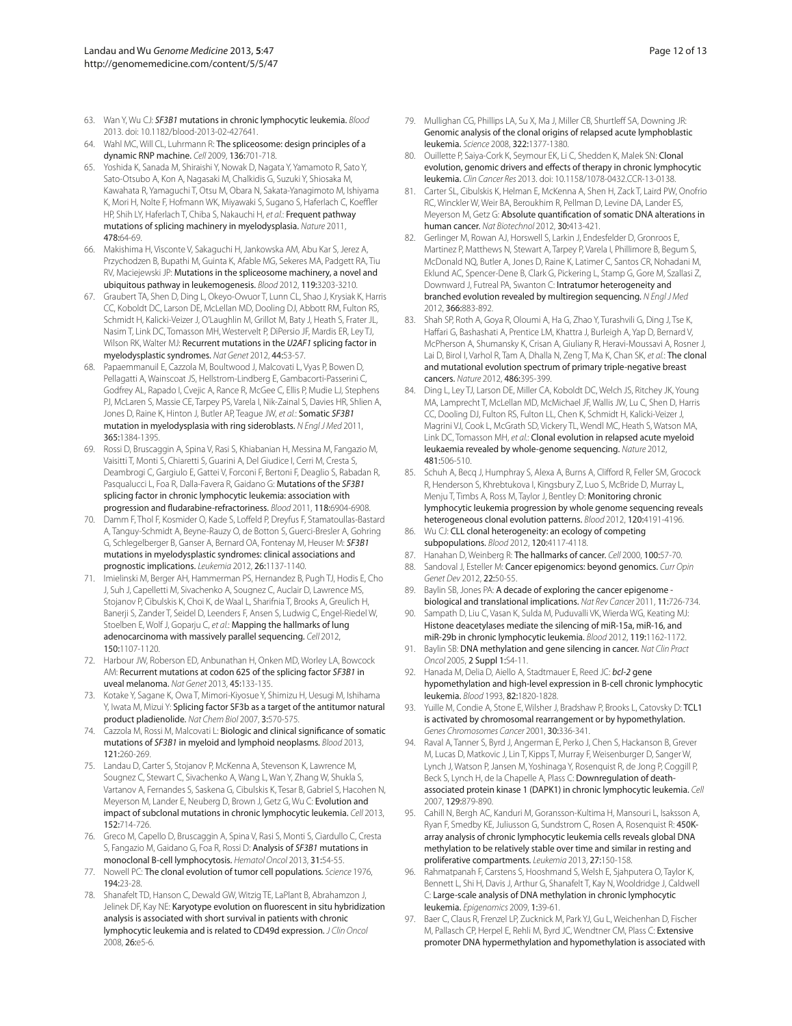- 63. Wan Y, Wu CJ: *SF3B1* mutations in chronic lymphocytic leukemia. *Blood*  2013. doi: 10.1182/blood-2013-02-427641.
- 64. Wahl MC, Will CL, Luhrmann R: The spliceosome: design principles of a dynamic RNP machine. *Cell* 2009, 136:701-718.
- 65. Yoshida K, Sanada M, Shiraishi Y, Nowak D, Nagata Y, Yamamoto R, Sato Y, Sato-Otsubo A, Kon A, Nagasaki M, Chalkidis G, Suzuki Y, Shiosaka M, Kawahata R, Yamaguchi T, Otsu M, Obara N, Sakata-Yanagimoto M, Ishiyama K, Mori H, Nolte F, Hofmann WK, Miyawaki S, Sugano S, Haferlach C, Koeffler HP, Shih LY, Haferlach T, Chiba S, Nakauchi H, *et al.*: Frequent pathway mutations of splicing machinery in myelodysplasia. *Nature* 2011, 478:64-69.
- 66. Makishima H, Visconte V, Sakaguchi H, Jankowska AM, Abu Kar S, Jerez A, Przychodzen B, Bupathi M, Guinta K, Afable MG, Sekeres MA, Padgett RA, Tiu RV, Maciejewski JP: Mutations in the spliceosome machinery, a novel and ubiquitous pathway in leukemogenesis. *Blood* 2012, 119:3203-3210.
- 67. Graubert TA, Shen D, Ding L, Okeyo-Owuor T, Lunn CL, Shao J, Krysiak K, Harris CC, Koboldt DC, Larson DE, McLellan MD, Dooling DJ, Abbott RM, Fulton RS, Schmidt H, Kalicki-Veizer J, O'Laughlin M, Grillot M, Baty J, Heath S, Frater JL, Nasim T, Link DC, Tomasson MH, Westervelt P, DiPersio JF, Mardis ER, Ley TJ, Wilson RK, Walter MJ: Recurrent mutations in the *U2AF1* splicing factor in myelodysplastic syndromes. *Nat Genet* 2012, 44:53-57.
- 68. Papaemmanuil E, Cazzola M, Boultwood J, Malcovati L, Vyas P, Bowen D, Pellagatti A, Wainscoat JS, Hellstrom-Lindberg E, Gambacorti-Passerini C, Godfrey AL, Rapado I, Cvejic A, Rance R, McGee C, Ellis P, Mudie LJ, Stephens PJ, McLaren S, Massie CE, Tarpey PS, Varela I, Nik-Zainal S, Davies HR, Shlien A, Jones D, Raine K, Hinton J, Butler AP, Teague JW, *et al.*: Somatic *SF3B1* mutation in myelodysplasia with ring sideroblasts. *N Engl J Med* 2011, 365:1384-1395.
- 69. Rossi D, Bruscaggin A, Spina V, Rasi S, Khiabanian H, Messina M, Fangazio M, Vaisitti T, Monti S, Chiaretti S, Guarini A, Del Giudice I, Cerri M, Cresta S, Deambrogi C, Gargiulo E, Gattei V, Forconi F, Bertoni F, Deaglio S, Rabadan R, Pasqualucci L, Foa R, Dalla-Favera R, Gaidano G: Mutations of the *SF3B1* splicing factor in chronic lymphocytic leukemia: association with progression and fludarabine-refractoriness. *Blood* 2011, 118:6904-6908.
- 70. Damm F, Thol F, Kosmider O, Kade S, Loffeld P, Dreyfus F, Stamatoullas-Bastard A, Tanguy-Schmidt A, Beyne-Rauzy O, de Botton S, Guerci-Bresler A, Gohring G, Schlegelberger B, Ganser A, Bernard OA, Fontenay M, Heuser M: *SF3B1* mutations in myelodysplastic syndromes: clinical associations and prognostic implications. *Leukemia* 2012, 26:1137-1140.
- 71. Imielinski M, Berger AH, Hammerman PS, Hernandez B, Pugh TJ, Hodis E, Cho J, Suh J, Capelletti M, Sivachenko A, Sougnez C, Auclair D, Lawrence MS, Stojanov P, Cibulskis K, Choi K, de Waal L, Sharifnia T, Brooks A, Greulich H, Banerji S, Zander T, Seidel D, Leenders F, Ansen S, Ludwig C, Engel-Riedel W, Stoelben E, Wolf J, Goparju C, *et al.*: Mapping the hallmarks of lung adenocarcinoma with massively parallel sequencing. *Cell* 2012, 150:1107-1120.
- 72. Harbour JW, Roberson ED, Anbunathan H, Onken MD, Worley LA, Bowcock AM: Recurrent mutations at codon 625 of the splicing factor *SF3B1* in uveal melanoma. *Nat Genet* 2013, 45:133-135.
- 73. Kotake Y, Sagane K, Owa T, Mimori-Kiyosue Y, Shimizu H, Uesugi M, Ishihama Y, Iwata M, Mizui Y: Splicing factor SF3b as a target of the antitumor natural product pladienolide. *Nat Chem Biol* 2007, 3:570-575.
- 74. Cazzola M, Rossi M, Malcovati L: Biologic and clinical significance of somatic mutations of *SF3B1* in myeloid and lymphoid neoplasms. *Blood* 2013, 121:260-269.
- 75. Landau D, Carter S, Stojanov P, McKenna A, Stevenson K, Lawrence M, Sougnez C, Stewart C, Sivachenko A, Wang L, Wan Y, Zhang W, Shukla S, Vartanov A, Fernandes S, Saskena G, Cibulskis K, Tesar B, Gabriel S, Hacohen N, Meyerson M, Lander E, Neuberg D, Brown J, Getz G, Wu C: Evolution and impact of subclonal mutations in chronic lymphocytic leukemia. *Cell* 2013, 152:714-726.
- 76. Greco M, Capello D, Bruscaggin A, Spina V, Rasi S, Monti S, Ciardullo C, Cresta S, Fangazio M, Gaidano G, Foa R, Rossi D: Analysis of *SF3B1* mutations in monoclonal B-cell lymphocytosis. *Hematol Oncol* 2013, 31:54-55.
- 77. Nowell PC: The clonal evolution of tumor cell populations. *Science* 1976, 194:23-28.
- 78. Shanafelt TD, Hanson C, Dewald GW, Witzig TE, LaPlant B, Abrahamzon J, Jelinek DF, Kay NE: Karyotype evolution on fluorescent in situ hybridization analysis is associated with short survival in patients with chronic lymphocytic leukemia and is related to CD49d expression. *J Clin Oncol*  2008, 26:e5-6.
- 79. Mullighan CG, Phillips LA, Su X, Ma J, Miller CB, Shurtleff SA, Downing JR: Genomic analysis of the clonal origins of relapsed acute lymphoblastic leukemia. *Science* 2008, 322:1377-1380.
- 80. Ouillette P, Saiya-Cork K, Seymour EK, Li C, Shedden K, Malek SN: Clonal evolution, genomic drivers and effects of therapy in chronic lymphocytic leukemia. *Clin Cancer Res* 2013. doi: 10.1158/1078-0432.CCR-13-0138.
- 81. Carter SL, Cibulskis K, Helman E, McKenna A, Shen H, Zack T, Laird PW, Onofrio RC, Winckler W, Weir BA, Beroukhim R, Pellman D, Levine DA, Lander ES, Meyerson M, Getz G: Absolute quantification of somatic DNA alterations in human cancer. *Nat Biotechnol* 2012, 30:413-421.
- 82. Gerlinger M, Rowan AJ, Horswell S, Larkin J, Endesfelder D, Gronroos E, Martinez P, Matthews N, Stewart A, Tarpey P, Varela I, Phillimore B, Begum S, McDonald NQ, Butler A, Jones D, Raine K, Latimer C, Santos CR, Nohadani M, Eklund AC, Spencer-Dene B, Clark G, Pickering L, Stamp G, Gore M, Szallasi Z, Downward J, Futreal PA, Swanton C: Intratumor heterogeneity and branched evolution revealed by multiregion sequencing. *N Engl J Med*  2012, 366:883-892.
- 83. Shah SP, Roth A, Goya R, Oloumi A, Ha G, Zhao Y, Turashvili G, Ding J, Tse K, Haffari G, Bashashati A, Prentice LM, Khattra J, Burleigh A, Yap D, Bernard V, McPherson A, Shumansky K, Crisan A, Giuliany R, Heravi-Moussavi A, Rosner J, Lai D, Birol I, Varhol R, Tam A, Dhalla N, Zeng T, Ma K, Chan SK, *et al.*: The clonal and mutational evolution spectrum of primary triple-negative breast cancers. *Nature* 2012, 486:395-399.
- 84. Ding L, Ley TJ, Larson DE, Miller CA, Koboldt DC, Welch JS, Ritchey JK, Young MA, Lamprecht T, McLellan MD, McMichael JF, Wallis JW, Lu C, Shen D, Harris CC, Dooling DJ, Fulton RS, Fulton LL, Chen K, Schmidt H, Kalicki-Veizer J, Magrini VJ, Cook L, McGrath SD, Vickery TL, Wendl MC, Heath S, Watson MA, Link DC, Tomasson MH, *et al.*: Clonal evolution in relapsed acute myeloid leukaemia revealed by whole-genome sequencing. *Nature* 2012, 481:506-510.
- 85. Schuh A, Becq J, Humphray S, Alexa A, Burns A, Clifford R, Feller SM, Grocock R, Henderson S, Khrebtukova I, Kingsbury Z, Luo S, McBride D, Murray L, Menju T, Timbs A, Ross M, Taylor J, Bentley D: Monitoring chronic lymphocytic leukemia progression by whole genome sequencing reveals heterogeneous clonal evolution patterns. *Blood* 2012, 120:4191-4196.
- 86. Wu CJ: CLL clonal heterogeneity: an ecology of competing subpopulations. *Blood* 2012, 120:4117-4118.
- 87. Hanahan D, Weinberg R: The hallmarks of cancer. *Cell* 2000, 100:57-70.
- 88. Sandoval J, Esteller M: Cancer epigenomics: beyond genomics. *Curr Opin Genet Dev* 2012, 22:50-55.
- 89. Baylin SB, Jones PA: A decade of exploring the cancer epigenome biological and translational implications. *Nat Rev Cancer* 2011, 11:726-734.
- 90. Sampath D, Liu C, Vasan K, Sulda M, Puduvalli VK, Wierda WG, Keating MJ: Histone deacetylases mediate the silencing of miR-15a, miR-16, and miR-29b in chronic lymphocytic leukemia. *Blood* 2012, 119:1162-1172.
- 91. Baylin SB: DNA methylation and gene silencing in cancer. *Nat Clin Pract Oncol* 2005, 2 Suppl 1:S4-11.
- 92. Hanada M, Delia D, Aiello A, Stadtmauer E, Reed JC: *bcl-2* gene hypomethylation and high-level expression in B-cell chronic lymphocytic leukemia. *Blood* 1993, 82:1820-1828.
- 93. Yuille M, Condie A, Stone E, Wilsher J, Bradshaw P, Brooks L, Catovsky D: TCL1 is activated by chromosomal rearrangement or by hypomethylation. *Genes Chromosomes Cancer* 2001, 30:336-341.
- 94. Raval A, Tanner S, Byrd J, Angerman E, Perko J, Chen S, Hackanson B, Grever M, Lucas D, Matkovic J, Lin T, Kipps T, Murray F, Weisenburger D, Sanger W, Lynch J, Watson P, Jansen M, Yoshinaga Y, Rosenquist R, de Jong P, Coggill P, Beck S, Lynch H, de la Chapelle A, Plass C: Downregulation of deathassociated protein kinase 1 (DAPK1) in chronic lymphocytic leukemia. *Cell*  2007, 129:879-890.
- 95. Cahill N, Bergh AC, Kanduri M, Goransson-Kultima H, Mansouri L, Isaksson A, Ryan F, Smedby KE, Juliusson G, Sundstrom C, Rosen A, Rosenquist R: 450Karray analysis of chronic lymphocytic leukemia cells reveals global DNA methylation to be relatively stable over time and similar in resting and proliferative compartments. *Leukemia* 2013, 27:150-158.
- Rahmatpanah F, Carstens S, Hooshmand S, Welsh E, Sjahputera O, Taylor K, Bennett L, Shi H, Davis J, Arthur G, Shanafelt T, Kay N, Wooldridge J, Caldwell C: Large-scale analysis of DNA methylation in chronic lymphocytic leukemia. *Epigenomics* 2009, 1:39-61.
- 97. Baer C, Claus R, Frenzel LP, Zucknick M, Park YJ, Gu L, Weichenhan D, Fischer M, Pallasch CP, Herpel E, Rehli M, Byrd JC, Wendtner CM, Plass C: Extensive promoter DNA hypermethylation and hypomethylation is associated with